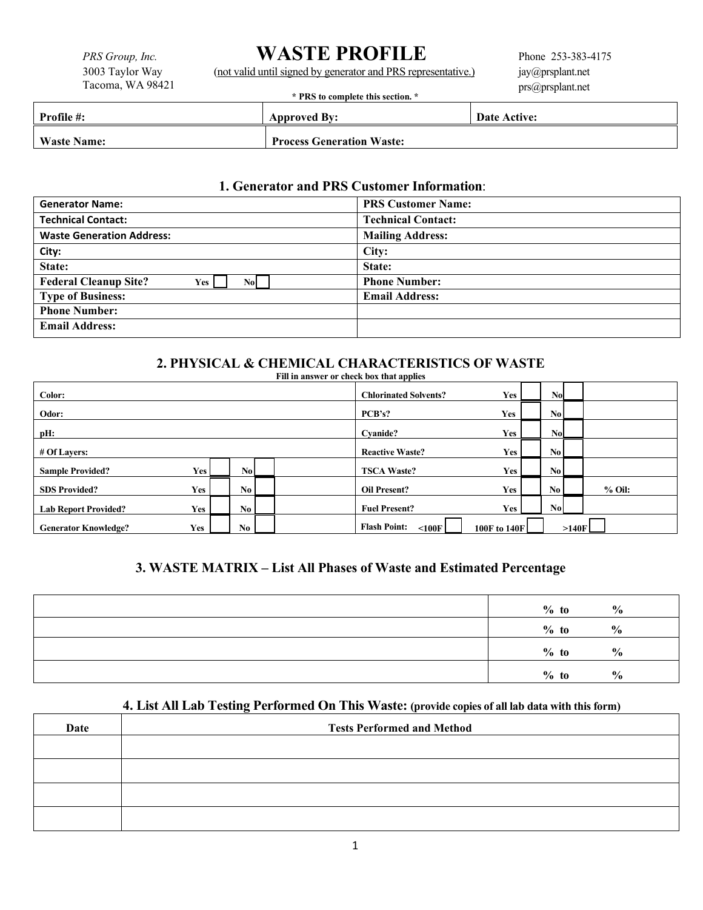# *PRS Group, Inc.* **WASTE PROFILE**<br>3003 Taylor Way (not valid until signed by generator and PRS repre

3003 Taylor Way (not valid until signed by generator and PRS representative.)

Phone 253-383-4175 jay@prsplant.net prs@prsplant.net

|  |  |  |  |  |  | * PRS to complete this section. * |  |
|--|--|--|--|--|--|-----------------------------------|--|
|--|--|--|--|--|--|-----------------------------------|--|

| <b>Profile #:</b>  | <b>Approved By:</b>              | Date Active: |
|--------------------|----------------------------------|--------------|
| <b>Waste Name:</b> | <b>Process Generation Waste:</b> |              |

#### **1. Generator and PRS Customer Information**:

| <b>Generator Name:</b>                       | <b>PRS Customer Name:</b> |  |
|----------------------------------------------|---------------------------|--|
| <b>Technical Contact:</b>                    | <b>Technical Contact:</b> |  |
| <b>Waste Generation Address:</b>             | <b>Mailing Address:</b>   |  |
| City:                                        | City:                     |  |
| State:                                       | State:                    |  |
| <b>Federal Cleanup Site?</b><br>Yes  <br>Nol | <b>Phone Number:</b>      |  |
| <b>Type of Business:</b>                     | <b>Email Address:</b>     |  |
| <b>Phone Number:</b>                         |                           |  |
| <b>Email Address:</b>                        |                           |  |

#### **2. PHYSICAL & CHEMICAL CHARACTERISTICS OF WASTE Fill in answer or check box that applies**

| <b>FIII III AIISWET OF CHECK DOX UIAL APPIIES</b> |                              |                        |                                    |              |                        |       |          |
|---------------------------------------------------|------------------------------|------------------------|------------------------------------|--------------|------------------------|-------|----------|
| Color:                                            | <b>Chlorinated Solvents?</b> | Yes                    | No.                                |              |                        |       |          |
| Odor:                                             | PCB's?                       | Yes                    | $\mathbf{N}$ <sub>0</sub>          |              |                        |       |          |
| pH:                                               | Cvanide?                     | <b>Yes</b>             | N <sub>o</sub>                     |              |                        |       |          |
| # Of Lavers:                                      |                              |                        | <b>Reactive Waste?</b>             | Yes          | $\mathbf{N}\mathbf{0}$ |       |          |
| <b>Sample Provided?</b>                           | Yes                          | $\mathbf{N}\mathbf{o}$ | <b>TSCA Waste?</b>                 | Yes          | No l                   |       |          |
| <b>SDS Provided?</b>                              | Yes,                         | No I                   | <b>Oil Present?</b>                | Yes          | No <sub>1</sub>        |       | $%$ Oil: |
| <b>Lab Report Provided?</b>                       | <b>Yes</b>                   | No <sub>1</sub>        | <b>Fuel Present?</b>               | Yes          | No.                    |       |          |
| <b>Generator Knowledge?</b>                       | Yes                          | No.                    | <b>Flash Point:</b><br>$\leq100$ F | 100F to 140F |                        | >140F |          |

# **3. WASTE MATRIX – List All Phases of Waste and Estimated Percentage**

| $%$ to  | $\frac{0}{0}$ |
|---------|---------------|
| $%$ to  | $\frac{0}{0}$ |
| $\%$ to | $\frac{6}{6}$ |
| $%$ to  | $\frac{6}{6}$ |

# **4. List All Lab Testing Performed On This Waste: (provide copies of all lab data with this form)**

| Date | <b>Tests Performed and Method</b> |
|------|-----------------------------------|
|      |                                   |
|      |                                   |
|      |                                   |
|      |                                   |